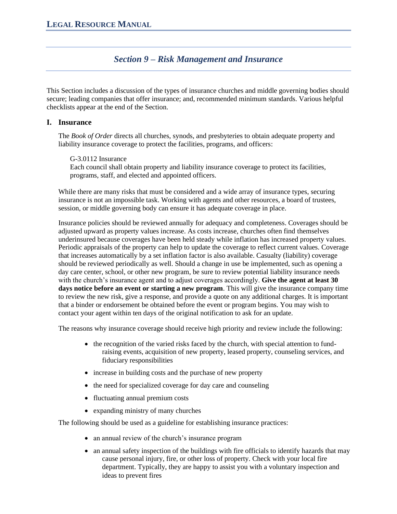# *Section 9 – Risk Management and Insurance*

This Section includes a discussion of the types of insurance churches and middle governing bodies should secure; leading companies that offer insurance; and, recommended minimum standards. Various helpful checklists appear at the end of the Section.

# **I. Insurance**

The *Book of Order* directs all churches, synods, and presbyteries to obtain adequate property and liability insurance coverage to protect the facilities, programs, and officers:

## G-3.0112 Insurance

Each council shall obtain property and liability insurance coverage to protect its facilities, programs, staff, and elected and appointed officers.

While there are many risks that must be considered and a wide array of insurance types, securing insurance is not an impossible task. Working with agents and other resources, a board of trustees, session, or middle governing body can ensure it has adequate coverage in place.

Insurance policies should be reviewed annually for adequacy and completeness. Coverages should be adjusted upward as property values increase. As costs increase, churches often find themselves underinsured because coverages have been held steady while inflation has increased property values. Periodic appraisals of the property can help to update the coverage to reflect current values. Coverage that increases automatically by a set inflation factor is also available. Casualty (liability) coverage should be reviewed periodically as well. Should a change in use be implemented, such as opening a day care center, school, or other new program, be sure to review potential liability insurance needs with the church's insurance agent and to adjust coverages accordingly. **Give the agent at least 30 days notice before an event or starting a new program**. This will give the insurance company time to review the new risk, give a response, and provide a quote on any additional charges. It is important that a binder or endorsement be obtained before the event or program begins. You may wish to contact your agent within ten days of the original notification to ask for an update.

The reasons why insurance coverage should receive high priority and review include the following:

- the recognition of the varied risks faced by the church, with special attention to fundraising events, acquisition of new property, leased property, counseling services, and fiduciary responsibilities
- increase in building costs and the purchase of new property
- the need for specialized coverage for day care and counseling
- fluctuating annual premium costs
- expanding ministry of many churches

The following should be used as a guideline for establishing insurance practices:

- an annual review of the church's insurance program
- an annual safety inspection of the buildings with fire officials to identify hazards that may cause personal injury, fire, or other loss of property. Check with your local fire department. Typically, they are happy to assist you with a voluntary inspection and ideas to prevent fires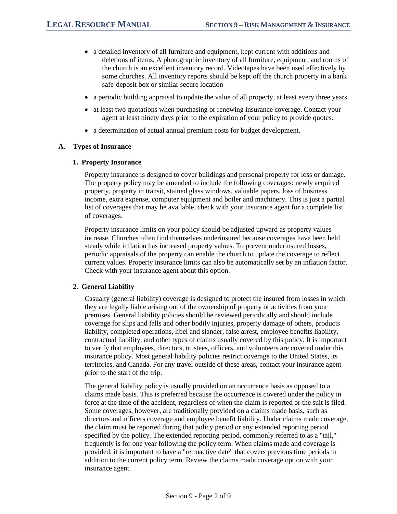- a detailed inventory of all furniture and equipment, kept current with additions and deletions of items. A photographic inventory of all furniture, equipment, and rooms of the church is an excellent inventory record. Videotapes have been used effectively by some churches. All inventory reports should be kept off the church property in a bank safe-deposit box or similar secure location
- a periodic building appraisal to update the value of all property, at least every three years
- at least two quotations when purchasing or renewing insurance coverage. Contact your agent at least ninety days prior to the expiration of your policy to provide quotes.
- a determination of actual annual premium costs for budget development.

#### **A. Types of Insurance**

#### **1. Property Insurance**

Property insurance is designed to cover buildings and personal property for loss or damage. The property policy may be amended to include the following coverages: newly acquired property, property in transit, stained glass windows, valuable papers, loss of business income, extra expense, computer equipment and boiler and machinery. This is just a partial list of coverages that may be available, check with your insurance agent for a complete list of coverages.

Property insurance limits on your policy should be adjusted upward as property values increase. Churches often find themselves underinsured because coverages have been held steady while inflation has increased property values. To prevent underinsured losses, periodic appraisals of the property can enable the church to update the coverage to reflect current values. Property insurance limits can also be automatically set by an inflation factor. Check with your insurance agent about this option.

#### **2. General Liability**

Casualty (general liability) coverage is designed to protect the insured from losses in which they are legally liable arising out of the ownership of property or activities from your premises. General liability policies should be reviewed periodically and should include coverage for slips and falls and other bodily injuries, property damage of others, products liability, completed operations, libel and slander, false arrest, employee benefits liability, contractual liability, and other types of claims usually covered by this policy. It is important to verify that employees, directors, trustees, officers, and volunteers are covered under this insurance policy. Most general liability policies restrict coverage to the United States, its territories, and Canada. For any travel outside of these areas, contact your insurance agent prior to the start of the trip.

The general liability policy is usually provided on an occurrence basis as opposed to a claims made basis. This is preferred because the occurrence is covered under the policy in force at the time of the accident, regardless of when the claim is reported or the suit is filed. Some coverages, however, are traditionally provided on a claims made basis, such as directors and officers coverage and employee benefit liability. Under claims made coverage, the claim must be reported during that policy period or any extended reporting period specified by the policy. The extended reporting period, commonly referred to as a "tail," frequently is for one year following the policy term. When claims made and coverage is provided, it is important to have a "retroactive date" that covers previous time periods in addition to the current policy term. Review the claims made coverage option with your insurance agent.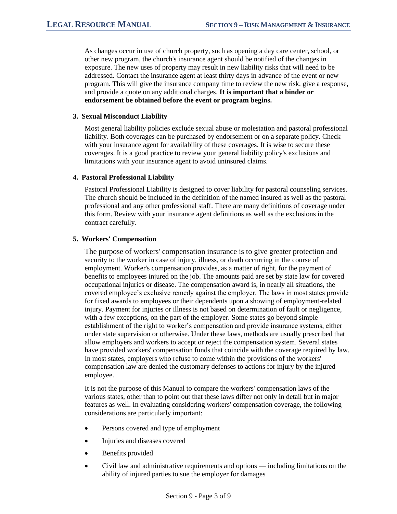As changes occur in use of church property, such as opening a day care center, school, or other new program, the church's insurance agent should be notified of the changes in exposure. The new uses of property may result in new liability risks that will need to be addressed. Contact the insurance agent at least thirty days in advance of the event or new program. This will give the insurance company time to review the new risk, give a response, and provide a quote on any additional charges. **It is important that a binder or endorsement be obtained before the event or program begins.** 

#### **3. Sexual Misconduct Liability**

Most general liability policies exclude sexual abuse or molestation and pastoral professional liability. Both coverages can be purchased by endorsement or on a separate policy. Check with your insurance agent for availability of these coverages. It is wise to secure these coverages. It is a good practice to review your general liability policy's exclusions and limitations with your insurance agent to avoid uninsured claims.

## **4. Pastoral Professional Liability**

Pastoral Professional Liability is designed to cover liability for pastoral counseling services. The church should be included in the definition of the named insured as well as the pastoral professional and any other professional staff. There are many definitions of coverage under this form. Review with your insurance agent definitions as well as the exclusions in the contract carefully.

## **5. Workers' Compensation**

The purpose of workers' compensation insurance is to give greater protection and security to the worker in case of injury, illness, or death occurring in the course of employment. Worker's compensation provides, as a matter of right, for the payment of benefits to employees injured on the job. The amounts paid are set by state law for covered occupational injuries or disease. The compensation award is, in nearly all situations, the covered employee's exclusive remedy against the employer. The laws in most states provide for fixed awards to employees or their dependents upon a showing of employment-related injury. Payment for injuries or illness is not based on determination of fault or negligence, with a few exceptions, on the part of the employer. Some states go beyond simple establishment of the right to worker's compensation and provide insurance systems, either under state supervision or otherwise. Under these laws, methods are usually prescribed that allow employers and workers to accept or reject the compensation system. Several states have provided workers' compensation funds that coincide with the coverage required by law. In most states, employers who refuse to come within the provisions of the workers' compensation law are denied the customary defenses to actions for injury by the injured employee.

It is not the purpose of this Manual to compare the workers' compensation laws of the various states, other than to point out that these laws differ not only in detail but in major features as well. In evaluating considering workers' compensation coverage, the following considerations are particularly important:

- Persons covered and type of employment
- Injuries and diseases covered
- Benefits provided
- Civil law and administrative requirements and options including limitations on the ability of injured parties to sue the employer for damages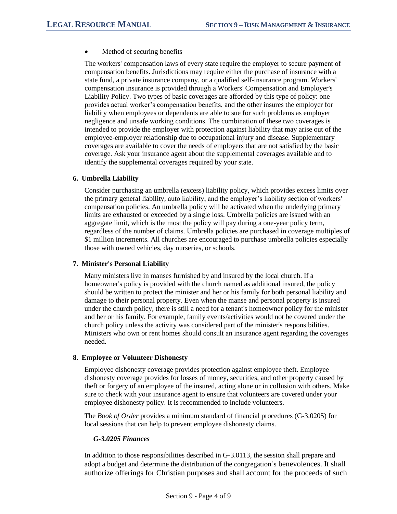• Method of securing benefits

The workers' compensation laws of every state require the employer to secure payment of compensation benefits. Jurisdictions may require either the purchase of insurance with a state fund, a private insurance company, or a qualified self-insurance program. Workers' compensation insurance is provided through a Workers' Compensation and Employer's Liability Policy. Two types of basic coverages are afforded by this type of policy: one provides actual worker's compensation benefits, and the other insures the employer for liability when employees or dependents are able to sue for such problems as employer negligence and unsafe working conditions. The combination of these two coverages is intended to provide the employer with protection against liability that may arise out of the employee-employer relationship due to occupational injury and disease. Supplementary coverages are available to cover the needs of employers that are not satisfied by the basic coverage. Ask your insurance agent about the supplemental coverages available and to identify the supplemental coverages required by your state.

## **6. Umbrella Liability**

Consider purchasing an umbrella (excess) liability policy, which provides excess limits over the primary general liability, auto liability, and the employer's liability section of workers' compensation policies. An umbrella policy will be activated when the underlying primary limits are exhausted or exceeded by a single loss. Umbrella policies are issued with an aggregate limit, which is the most the policy will pay during a one-year policy term, regardless of the number of claims. Umbrella policies are purchased in coverage multiples of \$1 million increments. All churches are encouraged to purchase umbrella policies especially those with owned vehicles, day nurseries, or schools.

## **7. Minister's Personal Liability**

Many ministers live in manses furnished by and insured by the local church. If a homeowner's policy is provided with the church named as additional insured, the policy should be written to protect the minister and her or his family for both personal liability and damage to their personal property. Even when the manse and personal property is insured under the church policy, there is still a need for a tenant's homeowner policy for the minister and her or his family. For example, family events/activities would not be covered under the church policy unless the activity was considered part of the minister's responsibilities. Ministers who own or rent homes should consult an insurance agent regarding the coverages needed.

## **8. Employee or Volunteer Dishonesty**

Employee dishonesty coverage provides protection against employee theft. Employee dishonesty coverage provides for losses of money, securities, and other property caused by theft or forgery of an employee of the insured, acting alone or in collusion with others. Make sure to check with your insurance agent to ensure that volunteers are covered under your employee dishonesty policy. It is recommended to include volunteers.

The *Book of Order* provides a minimum standard of financial procedures (G-3.0205) for local sessions that can help to prevent employee dishonesty claims.

## *G-3.0205 Finances*

In addition to those responsibilities described in G-3.0113, the session shall prepare and adopt a budget and determine the distribution of the congregation's benevolences. It shall authorize offerings for Christian purposes and shall account for the proceeds of such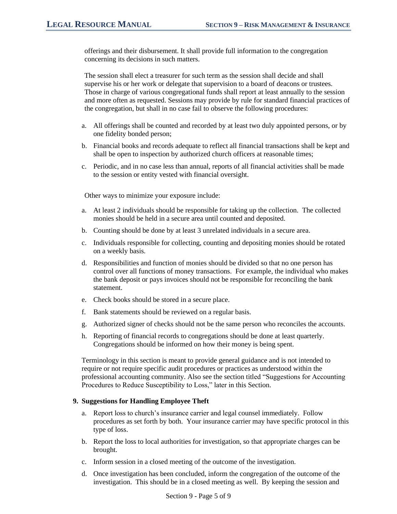offerings and their disbursement. It shall provide full information to the congregation concerning its decisions in such matters.

The session shall elect a treasurer for such term as the session shall decide and shall supervise his or her work or delegate that supervision to a board of deacons or trustees. Those in charge of various congregational funds shall report at least annually to the session and more often as requested. Sessions may provide by rule for standard financial practices of the congregation, but shall in no case fail to observe the following procedures:

- a. All offerings shall be counted and recorded by at least two duly appointed persons, or by one fidelity bonded person;
- b. Financial books and records adequate to reflect all financial transactions shall be kept and shall be open to inspection by authorized church officers at reasonable times;
- c. Periodic, and in no case less than annual, reports of all financial activities shall be made to the session or entity vested with financial oversight.

Other ways to minimize your exposure include:

- a. At least 2 individuals should be responsible for taking up the collection. The collected monies should be held in a secure area until counted and deposited.
- b. Counting should be done by at least 3 unrelated individuals in a secure area.
- c. Individuals responsible for collecting, counting and depositing monies should be rotated on a weekly basis.
- d. Responsibilities and function of monies should be divided so that no one person has control over all functions of money transactions. For example, the individual who makes the bank deposit or pays invoices should not be responsible for reconciling the bank statement.
- e. Check books should be stored in a secure place.
- f. Bank statements should be reviewed on a regular basis.
- g. Authorized signer of checks should not be the same person who reconciles the accounts.
- h. Reporting of financial records to congregations should be done at least quarterly. Congregations should be informed on how their money is being spent.

Terminology in this section is meant to provide general guidance and is not intended to require or not require specific audit procedures or practices as understood within the professional accounting community. Also see the section titled "Suggestions for Accounting Procedures to Reduce Susceptibility to Loss," later in this Section.

## **9. Suggestions for Handling Employee Theft**

- a. Report loss to church's insurance carrier and legal counsel immediately. Follow procedures as set forth by both. Your insurance carrier may have specific protocol in this type of loss.
- b. Report the loss to local authorities for investigation, so that appropriate charges can be brought.
- c. Inform session in a closed meeting of the outcome of the investigation.
- d. Once investigation has been concluded, inform the congregation of the outcome of the investigation. This should be in a closed meeting as well. By keeping the session and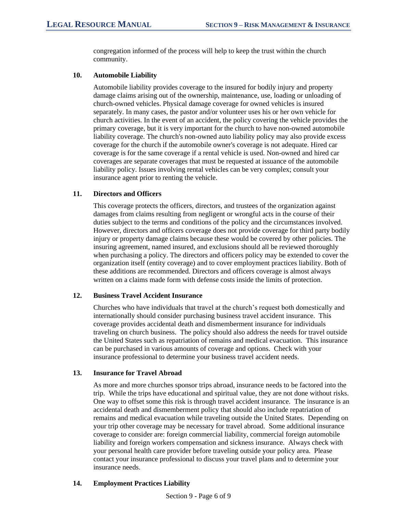congregation informed of the process will help to keep the trust within the church community.

## **10. Automobile Liability**

Automobile liability provides coverage to the insured for bodily injury and property damage claims arising out of the ownership, maintenance, use, loading or unloading of church-owned vehicles. Physical damage coverage for owned vehicles is insured separately. In many cases, the pastor and/or volunteer uses his or her own vehicle for church activities. In the event of an accident, the policy covering the vehicle provides the primary coverage, but it is very important for the church to have non-owned automobile liability coverage. The church's non-owned auto liability policy may also provide excess coverage for the church if the automobile owner's coverage is not adequate. Hired car coverage is for the same coverage if a rental vehicle is used. Non-owned and hired car coverages are separate coverages that must be requested at issuance of the automobile liability policy. Issues involving rental vehicles can be very complex; consult your insurance agent prior to renting the vehicle.

## **11. Directors and Officers**

This coverage protects the officers, directors, and trustees of the organization against damages from claims resulting from negligent or wrongful acts in the course of their duties subject to the terms and conditions of the policy and the circumstances involved. However, directors and officers coverage does not provide coverage for third party bodily injury or property damage claims because these would be covered by other policies. The insuring agreement, named insured, and exclusions should all be reviewed thoroughly when purchasing a policy. The directors and officers policy may be extended to cover the organization itself (entity coverage) and to cover employment practices liability. Both of these additions are recommended. Directors and officers coverage is almost always written on a claims made form with defense costs inside the limits of protection.

## **12. Business Travel Accident Insurance**

Churches who have individuals that travel at the church's request both domestically and internationally should consider purchasing business travel accident insurance. This coverage provides accidental death and dismemberment insurance for individuals traveling on church business. The policy should also address the needs for travel outside the United States such as repatriation of remains and medical evacuation. This insurance can be purchased in various amounts of coverage and options. Check with your insurance professional to determine your business travel accident needs.

# **13. Insurance for Travel Abroad**

As more and more churches sponsor trips abroad, insurance needs to be factored into the trip. While the trips have educational and spiritual value, they are not done without risks. One way to offset some this risk is through travel accident insurance. The insurance is an accidental death and dismemberment policy that should also include repatriation of remains and medical evacuation while traveling outside the United States. Depending on your trip other coverage may be necessary for travel abroad. Some additional insurance coverage to consider are: foreign commercial liability, commercial foreign automobile liability and foreign workers compensation and sickness insurance. Always check with your personal health care provider before traveling outside your policy area. Please contact your insurance professional to discuss your travel plans and to determine your insurance needs.

# **14. Employment Practices Liability**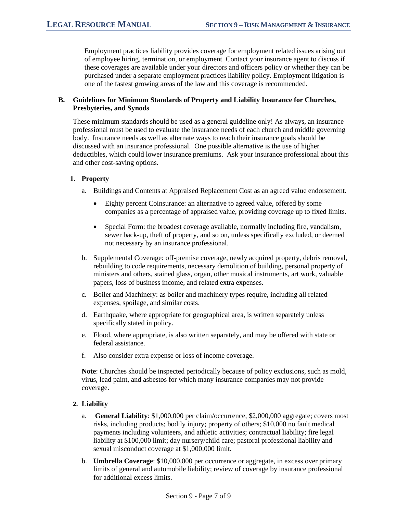Employment practices liability provides coverage for employment related issues arising out of employee hiring, termination, or employment. Contact your insurance agent to discuss if these coverages are available under your directors and officers policy or whether they can be purchased under a separate employment practices liability policy. Employment litigation is one of the fastest growing areas of the law and this coverage is recommended.

## **B. Guidelines for Minimum Standards of Property and Liability Insurance for Churches, Presbyteries, and Synods**

These minimum standards should be used as a general guideline only! As always, an insurance professional must be used to evaluate the insurance needs of each church and middle governing body. Insurance needs as well as alternate ways to reach their insurance goals should be discussed with an insurance professional. One possible alternative is the use of higher deductibles, which could lower insurance premiums. Ask your insurance professional about this and other cost-saving options.

## **1. Property**

- a. Buildings and Contents at Appraised Replacement Cost as an agreed value endorsement.
	- Eighty percent Coinsurance: an alternative to agreed value, offered by some companies as a percentage of appraised value, providing coverage up to fixed limits.
	- Special Form: the broadest coverage available, normally including fire, vandalism, sewer back-up, theft of property, and so on, unless specifically excluded, or deemed not necessary by an insurance professional.
- b. Supplemental Coverage: off-premise coverage, newly acquired property, debris removal, rebuilding to code requirements, necessary demolition of building, personal property of ministers and others, stained glass, organ, other musical instruments, art work, valuable papers, loss of business income, and related extra expenses.
- c. Boiler and Machinery: as boiler and machinery types require, including all related expenses, spoilage, and similar costs.
- d. Earthquake, where appropriate for geographical area, is written separately unless specifically stated in policy.
- e. Flood, where appropriate, is also written separately, and may be offered with state or federal assistance.
- f. Also consider extra expense or loss of income coverage.

**Note**: Churches should be inspected periodically because of policy exclusions, such as mold, virus, lead paint, and asbestos for which many insurance companies may not provide coverage.

## **2. Liability**

- a. **General Liability**: \$1,000,000 per claim/occurrence, \$2,000,000 aggregate; covers most risks, including products; bodily injury; property of others; \$10,000 no fault medical payments including volunteers, and athletic activities; contractual liability; fire legal liability at \$100,000 limit; day nursery/child care; pastoral professional liability and sexual misconduct coverage at \$1,000,000 limit.
- b. **Umbrella Coverage**: \$10,000,000 per occurrence or aggregate, in excess over primary limits of general and automobile liability; review of coverage by insurance professional for additional excess limits.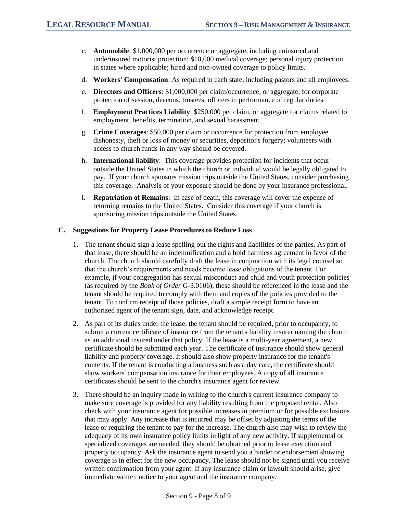- c. **Automobile**: \$1,000,000 per occurrence or aggregate, including uninsured and underinsured motorist protection; \$10,000 medical coverage; personal injury protection in states where applicable; hired and non-owned coverage to policy limits.
- d. **Workers' Compensation**: As required in each state, including pastors and all employees.
- e. **Directors and Officers**: \$1,000,000 per claim/occurrence, or aggregate, for corporate protection of session, deacons, trustees, officers in performance of regular duties.
- f. **Employment Practices Liability**: \$250,000 per claim, or aggregate for claims related to employment, benefits, termination, and sexual harassment.
- g. **Crime Coverages**: \$50,000 per claim or occurrence for protection from employee dishonesty, theft or loss of money or securities, depositor's forgery; volunteers with access to church funds in any way should be covered.
- h. **International liability**: This coverage provides protection for incidents that occur outside the United States in which the church or individual would be legally obligated to pay. If your church sponsors mission trips outside the United States, consider purchasing this coverage. Analysis of your exposure should be done by your insurance professional.
- i. **Repatriation of Remains**: In case of death, this coverage will cover the expense of returning remains to the United States. Consider this coverage if your church is sponsoring mission trips outside the United States.

## **C. Suggestions for Property Lease Procedures to Reduce Loss**

- 1. The tenant should sign a lease spelling out the rights and liabilities of the parties. As part of that lease, there should be an indemnification and a hold harmless agreement in favor of the church. The church should carefully draft the lease in conjunction with its legal counsel so that the church's requirements and needs become lease obligations of the tenant. For example, if your congregation has sexual misconduct and child and youth protection policies (as required by the *Book of Order* G-3.0106), these should be referenced in the lease and the tenant should be required to comply with them and copies of the policies provided to the tenant. To confirm receipt of those policies, draft a simple receipt form to have an authorized agent of the tenant sign, date, and acknowledge receipt.
- 2. As part of its duties under the lease, the tenant should be required, prior to occupancy, to submit a current certificate of insurance from the tenant's liability insurer naming the church as an additional insured under that policy. If the lease is a multi-year agreement, a new certificate should be submitted each year. The certificate of insurance should show general liability and property coverage. It should also show property insurance for the tenant's contents. If the tenant is conducting a business such as a day care, the certificate should show workers' compensation insurance for their employees. A copy of all insurance certificates should be sent to the church's insurance agent for review.
- 3. There should be an inquiry made in writing to the church's current insurance company to make sure coverage is provided for any liability resulting from the proposed rental. Also check with your insurance agent for possible increases in premium or for possible exclusions that may apply. Any increase that is incurred may be offset by adjusting the terms of the lease or requiring the tenant to pay for the increase. The church also may wish to review the adequacy of its own insurance policy limits in light of any new activity. If supplemental or specialized coverages are needed, they should be obtained prior to lease execution and property occupancy. Ask the insurance agent to send you a binder or endorsement showing coverage is in effect for the new occupancy. The lease should not be signed until you receive written confirmation from your agent. If any insurance claim or lawsuit should arise, give immediate written notice to your agent and the insurance company.